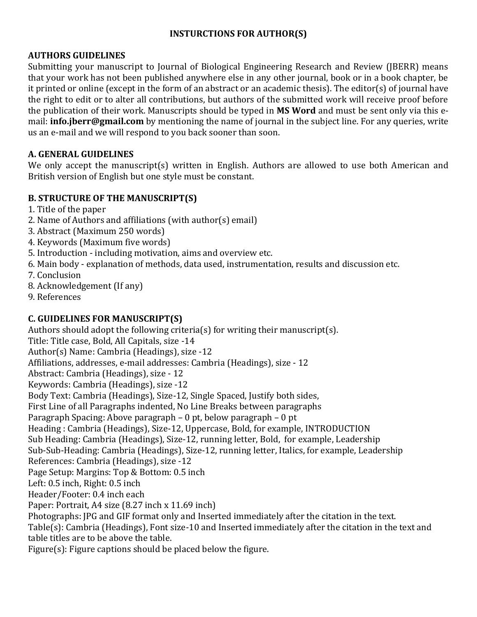## **INSTURCTIONS FOR AUTHOR(S)**

#### **AUTHORS GUIDELINES**

Submitting your manuscript to Journal of Biological Engineering Research and Review (JBERR) means that your work has not been published anywhere else in any other journal, book or in a book chapter, be it printed or online (except in the form of an abstract or an academic thesis). The editor(s) of journal have the right to edit or to alter all contributions, but authors of the submitted work will receive proof before the publication of their work. Manuscripts should be typed in **MS Word** and must be sent only via this email: **info.jberr@gmail.com** by mentioning the name of journal in the subject line. For any queries, write us an e-mail and we will respond to you back sooner than soon.

#### **A. GENERAL GUIDELINES**

We only accept the manuscript(s) written in English. Authors are allowed to use both American and British version of English but one style must be constant.

#### **B. STRUCTURE OF THE MANUSCRIPT(S)**

- 1. Title of the paper
- 2. Name of Authors and affiliations (with author(s) email)
- 3. Abstract (Maximum 250 words)
- 4. Keywords (Maximum five words)
- 5. Introduction including motivation, aims and overview etc.
- 6. Main body explanation of methods, data used, instrumentation, results and discussion etc.
- 7. Conclusion
- 8. Acknowledgement (If any)
- 9. References

## **C. GUIDELINES FOR MANUSCRIPT(S)**

Authors should adopt the following criteria(s) for writing their manuscript(s). Title: Title case, Bold, All Capitals, size -14 Author(s) Name: Cambria (Headings), size -12 Affiliations, addresses, e-mail addresses: Cambria (Headings), size - 12 Abstract: Cambria (Headings), size - 12 Keywords: Cambria (Headings), size -12 Body Text: Cambria (Headings), Size-12, Single Spaced, Justify both sides, First Line of all Paragraphs indented, No Line Breaks between paragraphs Paragraph Spacing: Above paragraph – 0 pt, below paragraph – 0 pt Heading : Cambria (Headings), Size-12, Uppercase, Bold, for example, INTRODUCTION Sub Heading: Cambria (Headings), Size-12, running letter, Bold, for example, Leadership Sub-Sub-Heading: Cambria (Headings), Size-12, running letter, Italics, for example, Leadership References: Cambria (Headings), size -12 Page Setup: Margins: Top & Bottom: 0.5 inch Left: 0.5 inch, Right: 0.5 inch Header/Footer: 0.4 inch each Paper: Portrait, A4 size (8.27 inch x 11.69 inch) Photographs: JPG and GIF format only and Inserted immediately after the citation in the text. Table(s): Cambria (Headings), Font size-10 and Inserted immediately after the citation in the text and table titles are to be above the table. Figure(s): Figure captions should be placed below the figure.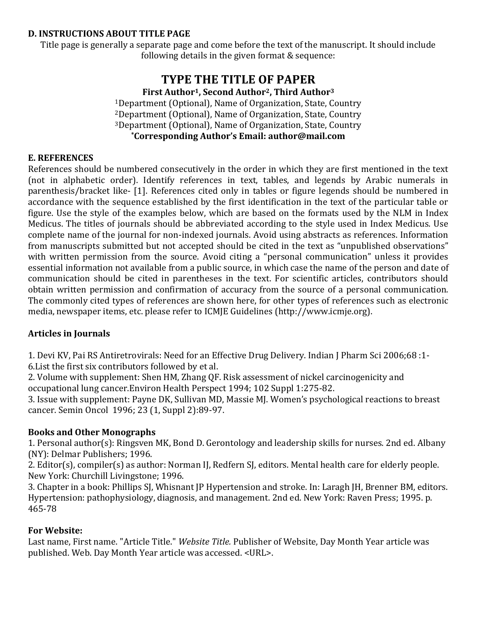#### **D. INSTRUCTIONS ABOUT TITLE PAGE**

Title page is generally a separate page and come before the text of the manuscript. It should include following details in the given format & sequence:

# **TYPE THE TITLE OF PAPER**

**First Author1, Second Author2, Third Author<sup>3</sup>**

Department (Optional), Name of Organization, State, Country Department (Optional), Name of Organization, State, Country Department (Optional), Name of Organization, State, Country **\*Corresponding Author's Email: author@mail.com**

## **E. REFERENCES**

References should be numbered consecutively in the order in which they are first mentioned in the text (not in alphabetic order). Identify references in text, tables, and legends by Arabic numerals in parenthesis/bracket like- [1]. References cited only in tables or figure legends should be numbered in accordance with the sequence established by the first identification in the text of the particular table or figure. Use the style of the examples below, which are based on the formats used by the NLM in Index Medicus. The titles of journals should be abbreviated according to the style used in Index Medicus. Use complete name of the journal for non-indexed journals. Avoid using abstracts as references. Information from manuscripts submitted but not accepted should be cited in the text as "unpublished observations" with written permission from the source. Avoid citing a "personal communication" unless it provides essential information not available from a public source, in which case the name of the person and date of communication should be cited in parentheses in the text. For scientific articles, contributors should obtain written permission and confirmation of accuracy from the source of a personal communication. The commonly cited types of references are shown here, for other types of references such as electronic media, newspaper items, etc. please refer to ICMJE Guidelines (http://www.icmje.org).

## **Articles in Journals**

1. Devi KV, Pai RS Antiretrovirals: Need for an Effective Drug Delivery. Indian J Pharm Sci 2006;68 :1- 6.List the first six contributors followed by et al.

2. Volume with supplement: Shen HM, Zhang QF. Risk assessment of nickel carcinogenicity and occupational lung cancer.Environ Health Perspect 1994; 102 Suppl 1:275-82.

3. Issue with supplement: Payne DK, Sullivan MD, Massie MJ. Women's psychological reactions to breast cancer. Semin Oncol 1996; 23 (1, Suppl 2):89-97.

## **Books and Other Monographs**

1. Personal author(s): Ringsven MK, Bond D. Gerontology and leadership skills for nurses. 2nd ed. Albany (NY): Delmar Publishers; 1996.

2. Editor(s), compiler(s) as author: Norman IJ, Redfern SJ, editors. Mental health care for elderly people. New York: Churchill Livingstone; 1996.

3. Chapter in a book: Phillips SJ, Whisnant JP Hypertension and stroke. In: Laragh JH, Brenner BM, editors. Hypertension: pathophysiology, diagnosis, and management. 2nd ed. New York: Raven Press; 1995. p. 465-78

## **For Website:**

Last name, First name. "Article Title." *Website Title.* Publisher of Website, Day Month Year article was published. Web. Day Month Year article was accessed. <URL>.